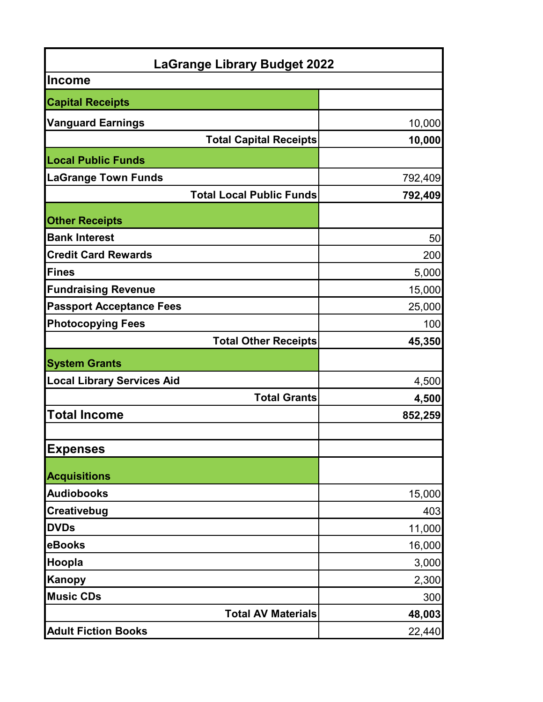| <b>LaGrange Library Budget 2022</b> |         |  |
|-------------------------------------|---------|--|
| <b>Income</b>                       |         |  |
| <b>Capital Receipts</b>             |         |  |
| <b>Vanguard Earnings</b>            | 10,000  |  |
| <b>Total Capital Receipts</b>       | 10,000  |  |
| <b>Local Public Funds</b>           |         |  |
| <b>LaGrange Town Funds</b>          | 792,409 |  |
| <b>Total Local Public Funds</b>     | 792,409 |  |
| <b>Other Receipts</b>               |         |  |
| <b>Bank Interest</b>                | 50      |  |
| <b>Credit Card Rewards</b>          | 200     |  |
| <b>Fines</b>                        | 5,000   |  |
| <b>Fundraising Revenue</b>          | 15,000  |  |
| <b>Passport Acceptance Fees</b>     | 25,000  |  |
| <b>Photocopying Fees</b>            | 100     |  |
| <b>Total Other Receipts</b>         | 45,350  |  |
| <b>System Grants</b>                |         |  |
| <b>Local Library Services Aid</b>   | 4,500   |  |
| <b>Total Grants</b>                 | 4,500   |  |
| <b>Total Income</b>                 | 852,259 |  |
|                                     |         |  |
| <b>Expenses</b>                     |         |  |
| <b>Acquisitions</b>                 |         |  |
| <b>Audiobooks</b>                   | 15,000  |  |
| Creativebug                         | 403     |  |
| <b>DVDs</b>                         | 11,000  |  |
| eBooks                              | 16,000  |  |
| Hoopla                              | 3,000   |  |
| <b>Kanopy</b>                       | 2,300   |  |
| <b>Music CDs</b>                    | 300     |  |
| <b>Total AV Materials</b>           | 48,003  |  |
| <b>Adult Fiction Books</b>          | 22,440  |  |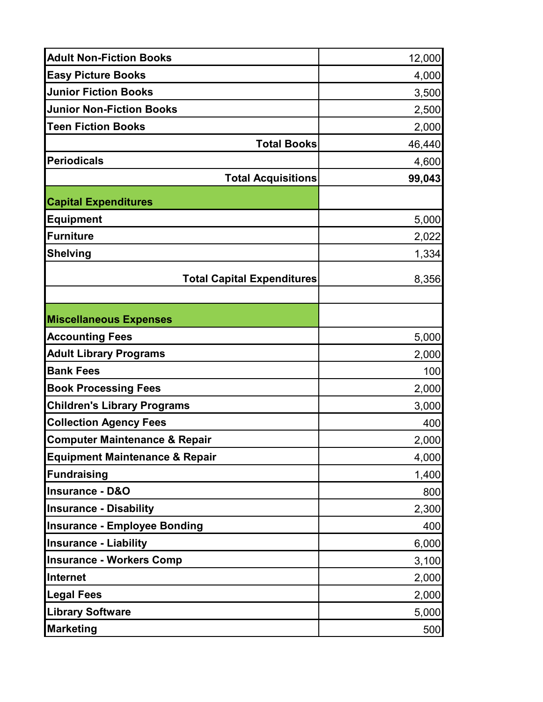| <b>Adult Non-Fiction Books</b>            | 12,000 |
|-------------------------------------------|--------|
| <b>Easy Picture Books</b>                 | 4,000  |
| <b>Junior Fiction Books</b>               | 3,500  |
| <b>Junior Non-Fiction Books</b>           | 2,500  |
| <b>Teen Fiction Books</b>                 | 2,000  |
| <b>Total Books</b>                        | 46,440 |
| <b>Periodicals</b>                        | 4,600  |
| <b>Total Acquisitions</b>                 | 99,043 |
| <b>Capital Expenditures</b>               |        |
| <b>Equipment</b>                          | 5,000  |
| <b>Furniture</b>                          | 2,022  |
| <b>Shelving</b>                           | 1,334  |
| <b>Total Capital Expenditures</b>         | 8,356  |
| <b>Miscellaneous Expenses</b>             |        |
| <b>Accounting Fees</b>                    | 5,000  |
| <b>Adult Library Programs</b>             | 2,000  |
| <b>Bank Fees</b>                          | 100    |
| <b>Book Processing Fees</b>               | 2,000  |
| <b>Children's Library Programs</b>        | 3,000  |
| <b>Collection Agency Fees</b>             | 400    |
| <b>Computer Maintenance &amp; Repair</b>  | 2,000  |
| <b>Equipment Maintenance &amp; Repair</b> | 4,000  |
| <b>Fundraising</b>                        | 1,400  |
| <b>Insurance - D&amp;O</b>                | 800    |
| <b>Insurance - Disability</b>             | 2,300  |
| <b>Insurance - Employee Bonding</b>       | 400    |
| <b>Insurance - Liability</b>              | 6,000  |
| <b>Insurance - Workers Comp</b>           | 3,100  |
| Internet                                  | 2,000  |
| <b>Legal Fees</b>                         | 2,000  |
| <b>Library Software</b>                   | 5,000  |
| <b>Marketing</b>                          | 500    |